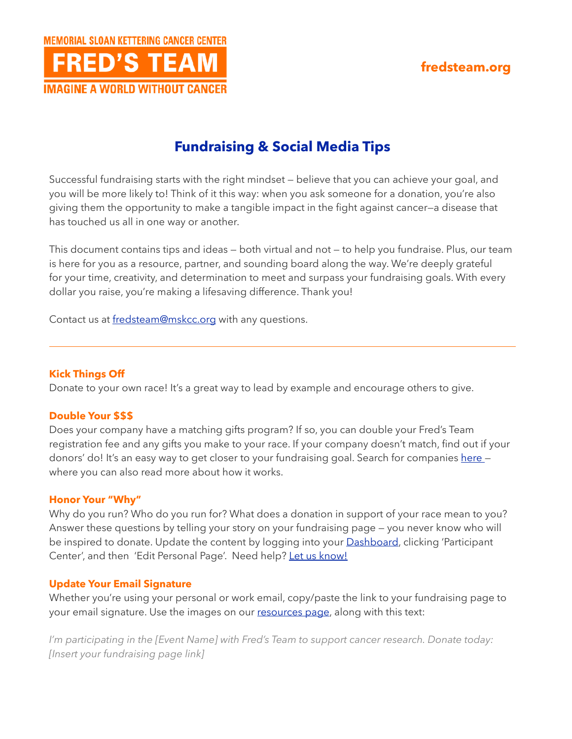# **fredsteam.org**



# **Fundraising & Social Media Tips**

Successful fundraising starts with the right mindset — believe that you can achieve your goal, and you will be more likely to! Think of it this way: when you ask someone for a donation, you're also giving them the opportunity to make a tangible impact in the fight against cancer—a disease that has touched us all in one way or another.

This document contains tips and ideas — both virtual and not — to help you fundraise. Plus, our team is here for you as a resource, partner, and sounding board along the way. We're deeply grateful for your time, creativity, and determination to meet and surpass your fundraising goals. With every dollar you raise, you're making a lifesaving difference. Thank you!

Contact us at f[redsteam@mskcc.org](mailto:FredsTeam%40mskcc.org?subject=) with any questions.

### **Kick Things Off**

Donate to your own race! It's a great way to lead by example and encourage others to give.

### **Double Your \$\$\$**

Does your company have a matching gifts program? If so, you can double your Fred's Team registration fee and any gifts you make to your race. If your company doesn't match, find out if your donors' do! It's an easy way to get closer to your fundraising goal. Search for companies [here](https://www.fredsteam.org/matching-gifts) where you can also read more about how it works.

### **Honor Your "Why"**

Why do you run? Who do you run for? What does a donation in support of your race mean to you? Answer these questions by telling your story on your fundraising page — you never know who will be inspired to donate. Update the content by logging into your **Dashboard**, clicking 'Participant Center', and then 'Edit Personal Page'. Need help? [Let us know!](https://www.fredsteam.org/contact-us)

### **Update Your Email Signature**

Whether you're using your personal or work email, copy/paste the link to your fundraising page to your email signature. Use the images on our [resources page,](https://www.fredsteam.org/resources) along with this text:

*I'm participating in the [Event Name] with Fred's Team to support cancer research. Donate today: [Insert your fundraising page link]*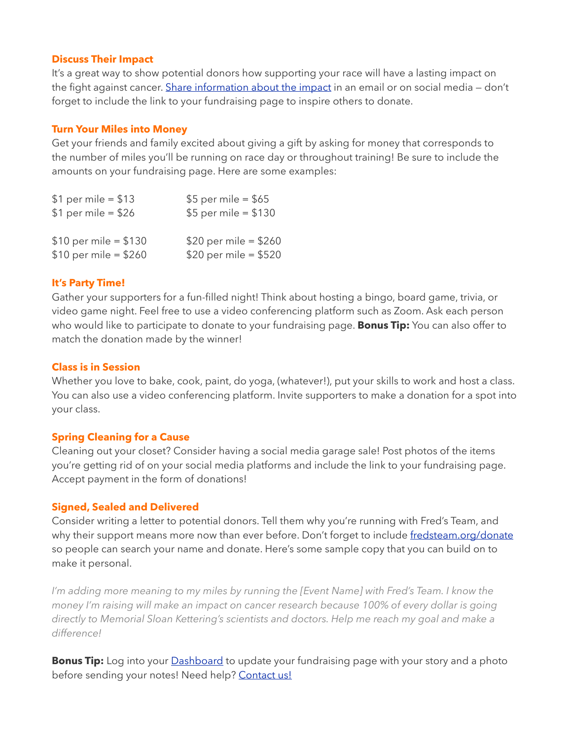#### **Discuss Their Impact**

It's a great way to show potential donors how supporting your race will have a lasting impact on the fight against cancer. [Share](https://www.fredsteam.org/impact) information about the impact in an email or on social media - don't forget to include the link to your fundraising page to inspire others to donate.

### **Turn Your Miles into Money**

Get your friends and family excited about giving a gift by asking for money that corresponds to the number of miles you'll be running on race day or throughout training! Be sure to include the amounts on your fundraising page. Here are some examples:

| \$5 per mile = $$65$   |
|------------------------|
| \$5 per mile = $$130$  |
|                        |
| \$20 per mile = $$260$ |
| \$20 per mile = $$520$ |
|                        |

### **It's Party Time!**

Gather your supporters for a fun-filled night! Think about hosting a bingo, board game, trivia, or video game night. Feel free to use a video conferencing platform such as Zoom. Ask each person who would like to participate to donate to your fundraising page. **Bonus Tip:** You can also offer to match the donation made by the winner!

#### **Class is in Session**

Whether you love to bake, cook, paint, do yoga, (whatever!), put your skills to work and host a class. You can also use a video conferencing platform. Invite supporters to make a donation for a spot into your class.

#### **Spring Cleaning for a Cause**

Cleaning out your closet? Consider having a social media garage sale! Post photos of the items you're getting rid of on your social media platforms and include the link to your fundraising page. Accept payment in the form of donations!

### **Signed, Sealed and Delivered**

Consider writing a letter to potential donors. Tell them why you're running with Fred's Team, and why their support means more now than ever before. Don't forget to include [fredsteam.org/donate](http://fredsteam.org/donate) so people can search your name and donate. Here's some sample copy that you can build on to make it personal.

I'm adding more meaning to my miles by running the [Event Name] with Fred's Team. I know the *money I'm raising will make an impact on cancer research because 100% of every dollar is going directly to Memorial Sloan Kettering's scientists and doctors. Help me reach my goal and make a difference!*

**Bonus Tip:** Log into your **Dashboard** to update your fundraising page with your story and a photo before sending your notes! Need help? [Contact us!](https://www.fredsteam.org/contact-us)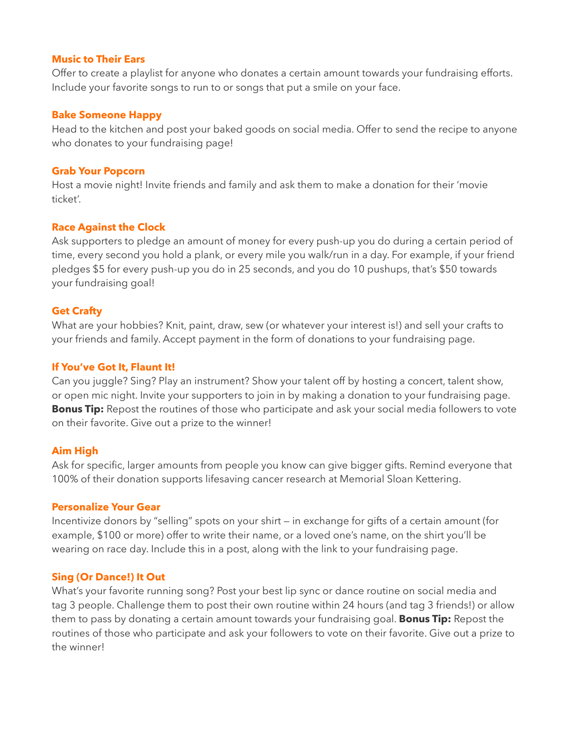### **Music to Their Ears**

Offer to create a playlist for anyone who donates a certain amount towards your fundraising efforts. Include your favorite songs to run to or songs that put a smile on your face.

### **Bake Someone Happy**

Head to the kitchen and post your baked goods on social media. Offer to send the recipe to anyone who donates to your fundraising page!

### **Grab Your Popcorn**

Host a movie night! Invite friends and family and ask them to make a donation for their 'movie ticket'.

### **Race Against the Clock**

Ask supporters to pledge an amount of money for every push-up you do during a certain period of time, every second you hold a plank, or every mile you walk/run in a day. For example, if your friend pledges \$5 for every push-up you do in 25 seconds, and you do 10 pushups, that's \$50 towards your fundraising goal!

### **Get Crafty**

What are your hobbies? Knit, paint, draw, sew (or whatever your interest is!) and sell your crafts to your friends and family. Accept payment in the form of donations to your fundraising page.

### **If You've Got It, Flaunt It!**

Can you juggle? Sing? Play an instrument? Show your talent off by hosting a concert, talent show, or open mic night. Invite your supporters to join in by making a donation to your fundraising page. **Bonus Tip:** Repost the routines of those who participate and ask your social media followers to vote on their favorite. Give out a prize to the winner!

### **Aim High**

Ask for specific, larger amounts from people you know can give bigger gifts. Remind everyone that 100% of their donation supports lifesaving cancer research at Memorial Sloan Kettering.

### **Personalize Your Gear**

Incentivize donors by "selling" spots on your shirt — in exchange for gifts of a certain amount (for example, \$100 or more) offer to write their name, or a loved one's name, on the shirt you'll be wearing on race day. Include this in a post, along with the link to your fundraising page.

### **Sing (Or Dance!) It Out**

What's your favorite running song? Post your best lip sync or dance routine on social media and tag 3 people. Challenge them to post their own routine within 24 hours (and tag 3 friends!) or allow them to pass by donating a certain amount towards your fundraising goal. **Bonus Tip:** Repost the routines of those who participate and ask your followers to vote on their favorite. Give out a prize to the winner!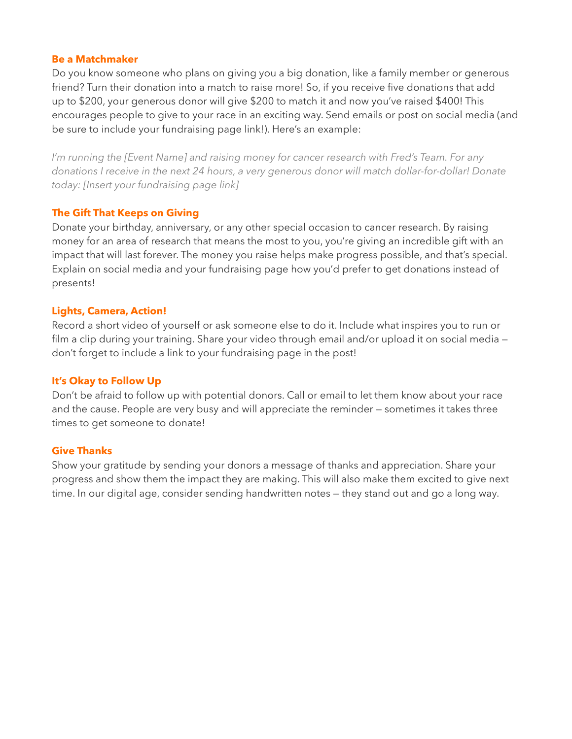#### **Be a Matchmaker**

Do you know someone who plans on giving you a big donation, like a family member or generous friend? Turn their donation into a match to raise more! So, if you receive five donations that add up to \$200, your generous donor will give \$200 to match it and now you've raised \$400! This encourages people to give to your race in an exciting way. Send emails or post on social media (and be sure to include your fundraising page link!). Here's an example:

*I'm running the [Event Name] and raising money for cancer research with Fred's Team. For any donations I receive in the next 24 hours, a very generous donor will match dollar-for-dollar! Donate today: [Insert your fundraising page link]*

### **The Gift That Keeps on Giving**

Donate your birthday, anniversary, or any other special occasion to cancer research. By raising money for an area of research that means the most to you, you're giving an incredible gift with an impact that will last forever. The money you raise helps make progress possible, and that's special. Explain on social media and your fundraising page how you'd prefer to get donations instead of presents!

#### **Lights, Camera, Action!**

Record a short video of yourself or ask someone else to do it. Include what inspires you to run or film a clip during your training. Share your video through email and/or upload it on social media don't forget to include a link to your fundraising page in the post!

### **It's Okay to Follow Up**

Don't be afraid to follow up with potential donors. Call or email to let them know about your race and the cause. People are very busy and will appreciate the reminder — sometimes it takes three times to get someone to donate!

#### **Give Thanks**

Show your gratitude by sending your donors a message of thanks and appreciation. Share your progress and show them the impact they are making. This will also make them excited to give next time. In our digital age, consider sending handwritten notes — they stand out and go a long way.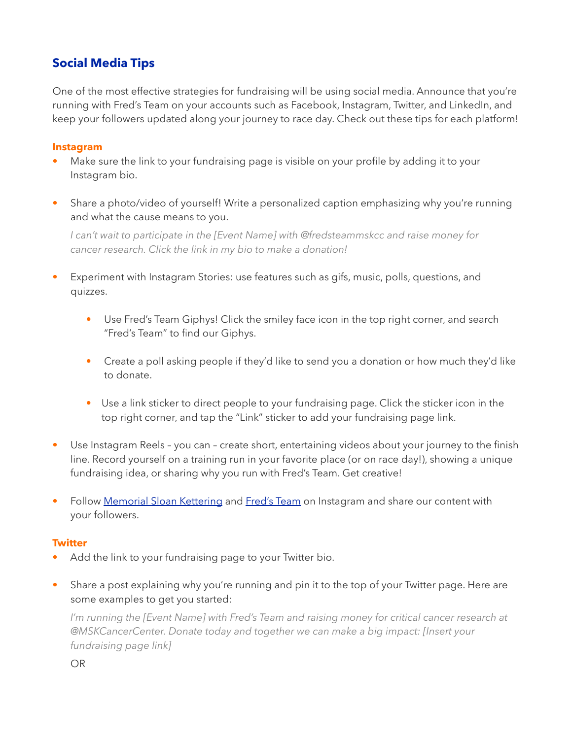# **Social Media Tips**

One of the most effective strategies for fundraising will be using social media. Announce that you're running with Fred's Team on your accounts such as Facebook, Instagram, Twitter, and LinkedIn, and keep your followers updated along your journey to race day. Check out these tips for each platform!

### **Instagram**

- Make sure the link to your fundraising page is visible on your profile by adding it to your Instagram bio.
- Share a photo/video of yourself! Write a personalized caption emphasizing why you're running and what the cause means to you.

 *I can't wait to participate in the [Event Name] with @fredsteammskcc and raise money for cancer research. Click the link in my bio to make a donation!* 

- Experiment with Instagram Stories: use features such as gifs, music, polls, questions, and quizzes.
	- Use Fred's Team Giphys! Click the smiley face icon in the top right corner, and search "Fred's Team" to find our Giphys.
	- Create a poll asking people if they'd like to send you a donation or how much they'd like to donate.
	- Use a link sticker to direct people to your fundraising page. Click the sticker icon in the top right corner, and tap the "Link" sticker to add your fundraising page link.
- Use Instagram Reels you can create short, entertaining videos about your journey to the finish line. Record yourself on a training run in your favorite place (or on race day!), showing a unique fundraising idea, or sharing why you run with Fred's Team. Get creative!
- Follow [Memorial Sloan Kettering](https://www.instagram.com/memorialsloankettering/) and [Fred's Team](https://www.instagram.com/fredsteammskcc/) on Instagram and share our content with your followers.

### **Twitter**

- Add the link to your fundraising page to your Twitter bio.
- Share a post explaining why you're running and pin it to the top of your Twitter page. Here are some examples to get you started:

 *I'm running the [Event Name] with Fred's Team and raising money for critical cancer research at @MSKCancerCenter. Donate today and together we can make a big impact: [Insert your fundraising page link]*

OR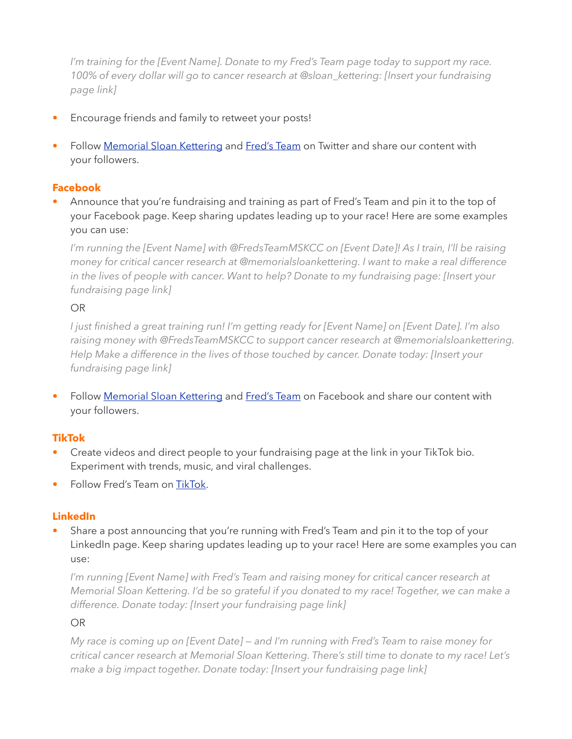*I'm training for the [Event Name]. Donate to my Fred's Team page today to support my race. 100% of every dollar will go to cancer research at @sloan\_kettering: [Insert your fundraising page link]*

- Encourage friends and family to retweet your posts!
- Follow [Memorial Sloan Kettering](https://twitter.com/MSKCancerCenter) and [Fred's Team](https://twitter.com/FredsTeam) on Twitter and share our content with your followers.

### **Facebook**

• Announce that you're fundraising and training as part of Fred's Team and pin it to the top of your Facebook page. Keep sharing updates leading up to your race! Here are some examples you can use:

 *I'm running the [Event Name] with @FredsTeamMSKCC on [Event Date]! As I train, I'll be raising money for critical cancer research at @memorialsloankettering. I want to make a real difference in the lives of people with cancer. Want to help? Donate to my fundraising page: [Insert your fundraising page link]*

### OR

 *I just finished a great training run! I'm getting ready for [Event Name] on [Event Date]. I'm also raising money with @FredsTeamMSKCC to support cancer research at @memorialsloankettering. Help Make a difference in the lives of those touched by cancer. Donate today: [Insert your fundraising page link]*

• Follow [Memorial Sloan Kettering](https://www.facebook.com/memorialsloankettering/) and [Fred's Team](https://www.facebook.com/FredsTeamMSKCC/) on Facebook and share our content with your followers.

### **TikTok**

- Create videos and direct people to your fundraising page at the link in your TikTok bio. Experiment with trends, music, and viral challenges.
- Follow Fred's Team on [TikTok](https://www.tiktok.com/@fredsteammskcc?is_from_webapp=1&sender_device=pc).

### **LinkedIn**

Share a post announcing that you're running with Fred's Team and pin it to the top of your LinkedIn page. Keep sharing updates leading up to your race! Here are some examples you can use:

 *I'm running [Event Name] with Fred's Team and raising money for critical cancer research at Memorial Sloan Kettering. I'd be so grateful if you donated to my race! Together, we can make a difference. Donate today: [Insert your fundraising page link]*

### OR

 *My race is coming up on [Event Date] — and I'm running with Fred's Team to raise money for critical cancer research at Memorial Sloan Kettering. There's still time to donate to my race! Let's make a big impact together. Donate today: [Insert your fundraising page link]*